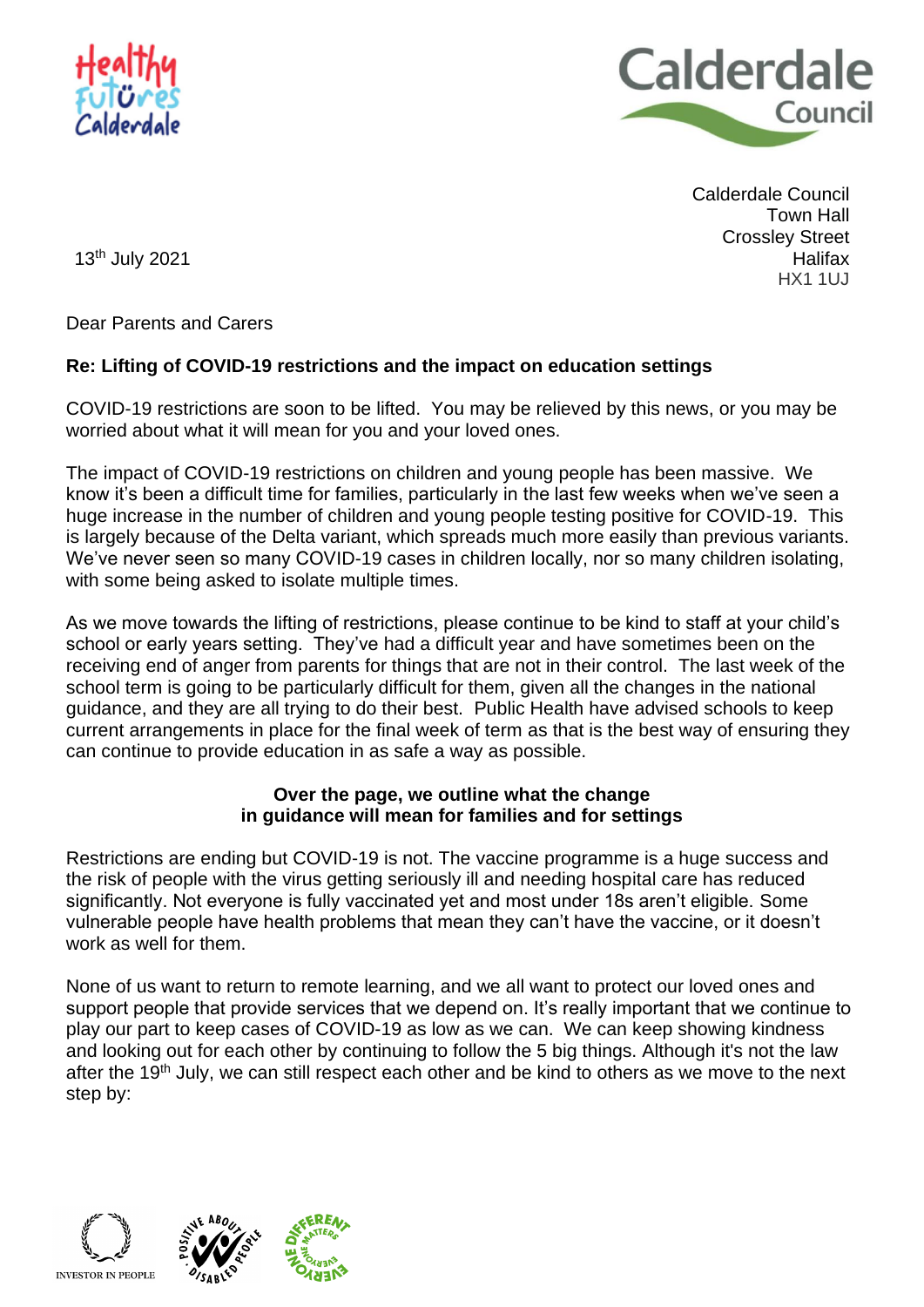



Calderdale Council Town Hall Crossley Street **Halifax** HX1 1UJ

13th July 2021

Dear Parents and Carers

## **Re: Lifting of COVID-19 restrictions and the impact on education settings**

COVID-19 restrictions are soon to be lifted. You may be relieved by this news, or you may be worried about what it will mean for you and your loved ones.

The impact of COVID-19 restrictions on children and young people has been massive. We know it's been a difficult time for families, particularly in the last few weeks when we've seen a huge increase in the number of children and young people testing positive for COVID-19. This is largely because of the Delta variant, which spreads much more easily than previous variants. We've never seen so many COVID-19 cases in children locally, nor so many children isolating, with some being asked to isolate multiple times.

As we move towards the lifting of restrictions, please continue to be kind to staff at your child's school or early years setting. They've had a difficult year and have sometimes been on the receiving end of anger from parents for things that are not in their control. The last week of the school term is going to be particularly difficult for them, given all the changes in the national guidance, and they are all trying to do their best. Public Health have advised schools to keep current arrangements in place for the final week of term as that is the best way of ensuring they can continue to provide education in as safe a way as possible.

## **Over the page, we outline what the change in guidance will mean for families and for settings**

Restrictions are ending but COVID-19 is not. The vaccine programme is a huge success and the risk of people with the virus getting seriously ill and needing hospital care has reduced significantly. Not everyone is fully vaccinated yet and most under 18s aren't eligible. Some vulnerable people have health problems that mean they can't have the vaccine, or it doesn't work as well for them.

None of us want to return to remote learning, and we all want to protect our loved ones and support people that provide services that we depend on. It's really important that we continue to play our part to keep cases of COVID-19 as low as we can. We can keep showing kindness and looking out for each other by continuing to follow the 5 big things. Although it's not the law after the 19<sup>th</sup> July, we can still respect each other and be kind to others as we move to the next step by:

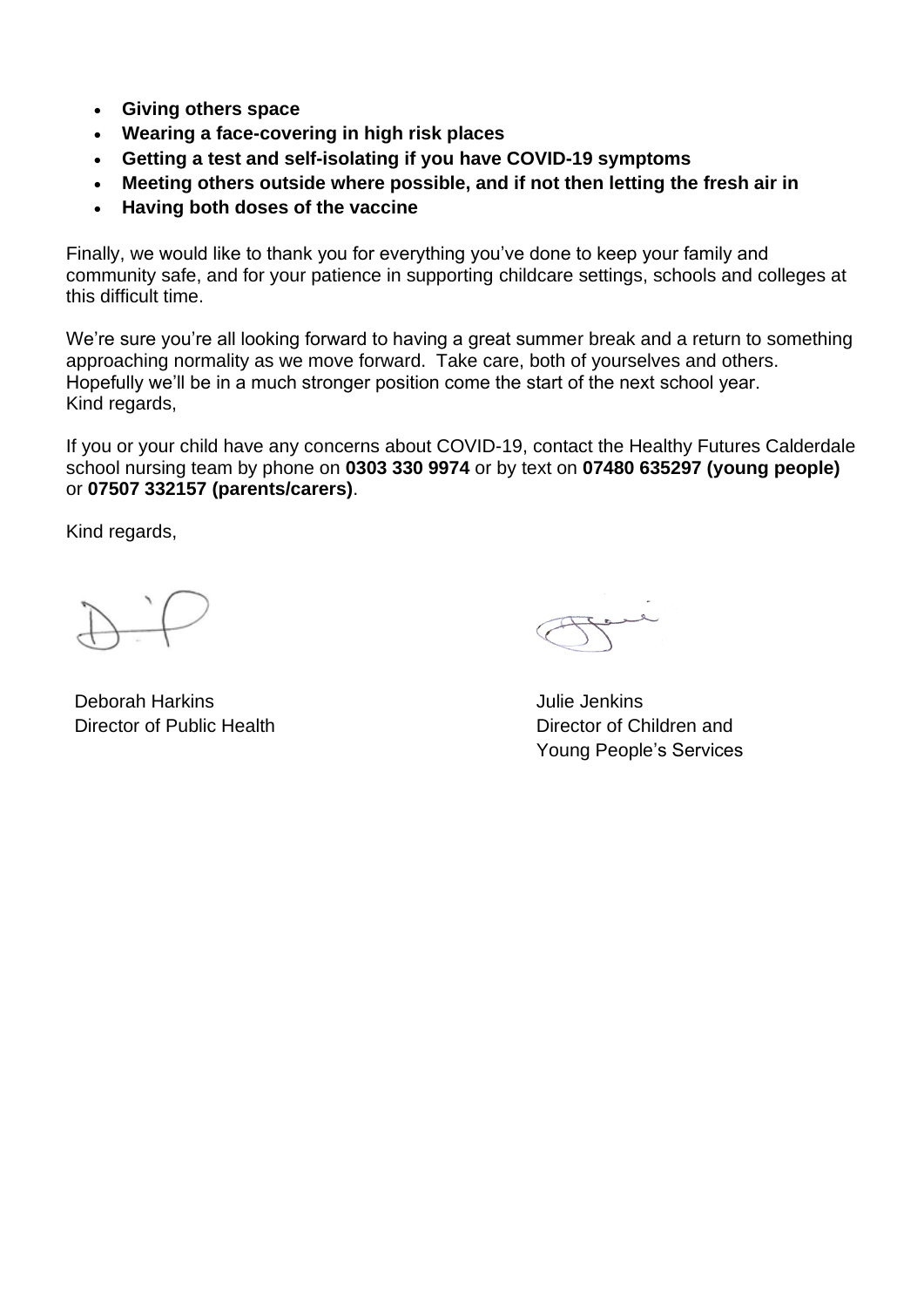- **Giving others space**
- **Wearing a face-covering in high risk places**
- **Getting a test and self-isolating if you have COVID-19 symptoms**
- **Meeting others outside where possible, and if not then letting the fresh air in**
- **Having both doses of the vaccine**

Finally, we would like to thank you for everything you've done to keep your family and community safe, and for your patience in supporting childcare settings, schools and colleges at this difficult time.

We're sure you're all looking forward to having a great summer break and a return to something approaching normality as we move forward. Take care, both of yourselves and others. Hopefully we'll be in a much stronger position come the start of the next school year. Kind regards,

If you or your child have any concerns about COVID-19, contact the Healthy Futures Calderdale school nursing team by phone on **0303 330 9974** or by text on **07480 635297 (young people)**  or **07507 332157 (parents/carers)**.

Kind regards,

Deborah Harkins Julie Jenkins

Director of Public Health Director of Children and Young People's Services